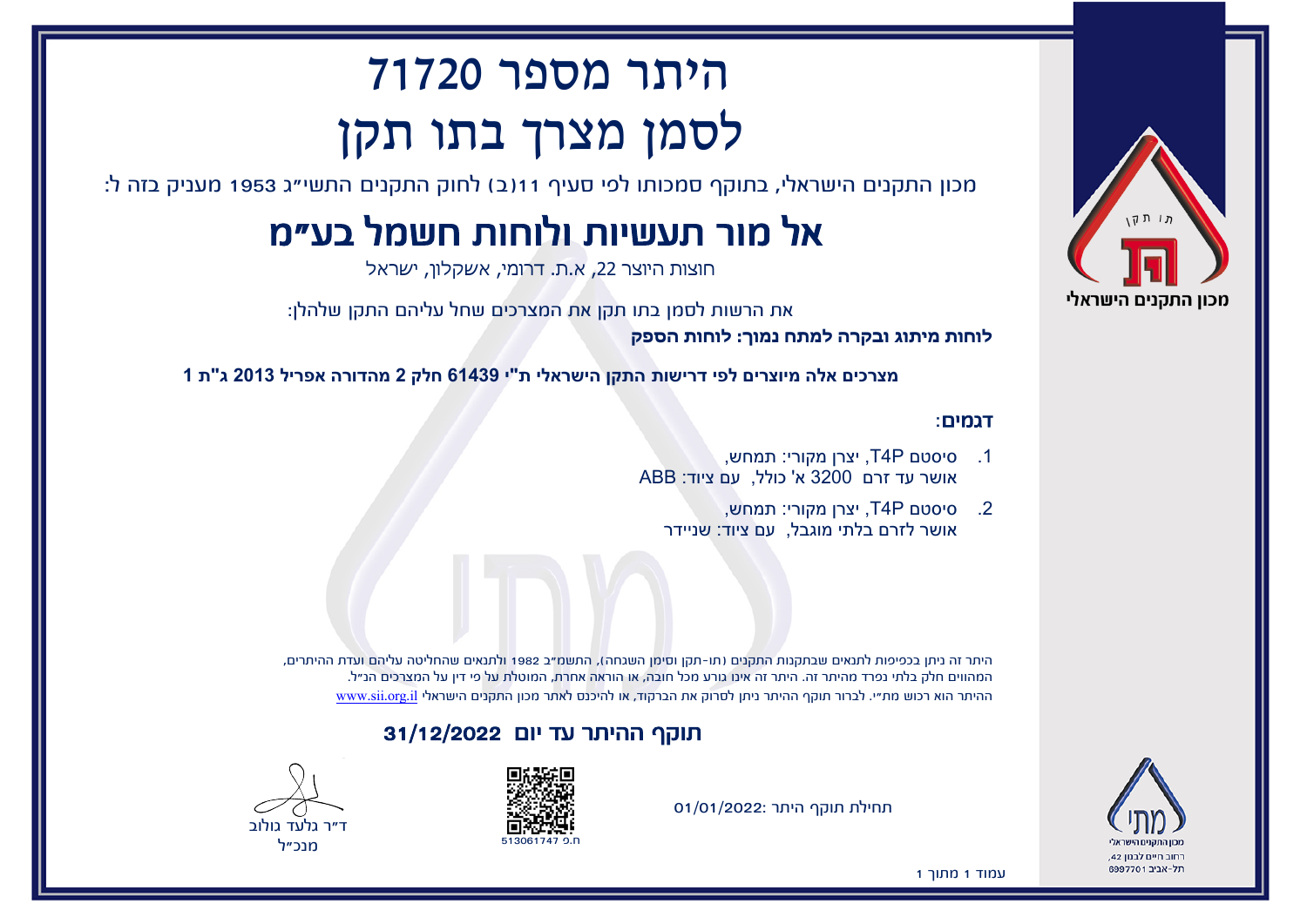

# היתר מספר 71720 לסמן מצרך בתו תקן

מכון התקנים הישראלי, בתוקף סמכותו לפי סעיף 11(ב) לחוק התקנים התשי"ג 1953 מעניק בזה ל:

## אל מור תעשיות ולוחות חשמל בע"מ

חוצות היוצר ,22 א.ת. דרומי, אשקלון, ישראל

את הרשות לסמן בתו תקן את המצרכים שחל עליהם התקן שלהלן:

**לוחות מיתוג ובקרה למתח נמוך: לוחות הספק**

**מצרכים אלה מיוצרים לפי דרישות התקן הישראלי ת"י 61439 חלק 2 מהדורה אפריל 2013 ג"ת 1**

#### דגמים:

- .1 סיסטם P4T, יצרן מקורי: תמחש, אושר עד זרם 3200 א' כולל, עם ציוד: ABB
	- .2 סיסטם P4T, יצרן מקורי: תמחש, אושר לזרם בלתי מוגבל, עם ציוד: שניידר

היתר זה ניתן בכפיפות לתנאים שבתקנות התקנים (תו-תקן וסימן השגחה), התשמ"ב 1982 ולתנאים שהחליטה עליהם ועדת ההיתרים, המהווים חלק בלתי נפרד מהיתר זה. היתר זה אינו גורע מכל חובה, או הוראה אחרת, המוטלת על פי דין על המצרכים הנ"ל. ההיתר הוא רכוש מת"י. לברור תוקף ההיתר ניתן לסרוק את הברקוד, או להיכנס לאתר מכון התקנים הישראלי [il.org.sii.www](http://www.sii.org.il)

#### תוקף ההיתר עד יום 31/12/2022





מנכ"ל

רחוב חיים לבנוו 42. תל-אריר 6997701

תחילת תוקף היתר 01/01/2022:

עמוד 1 מתוך 1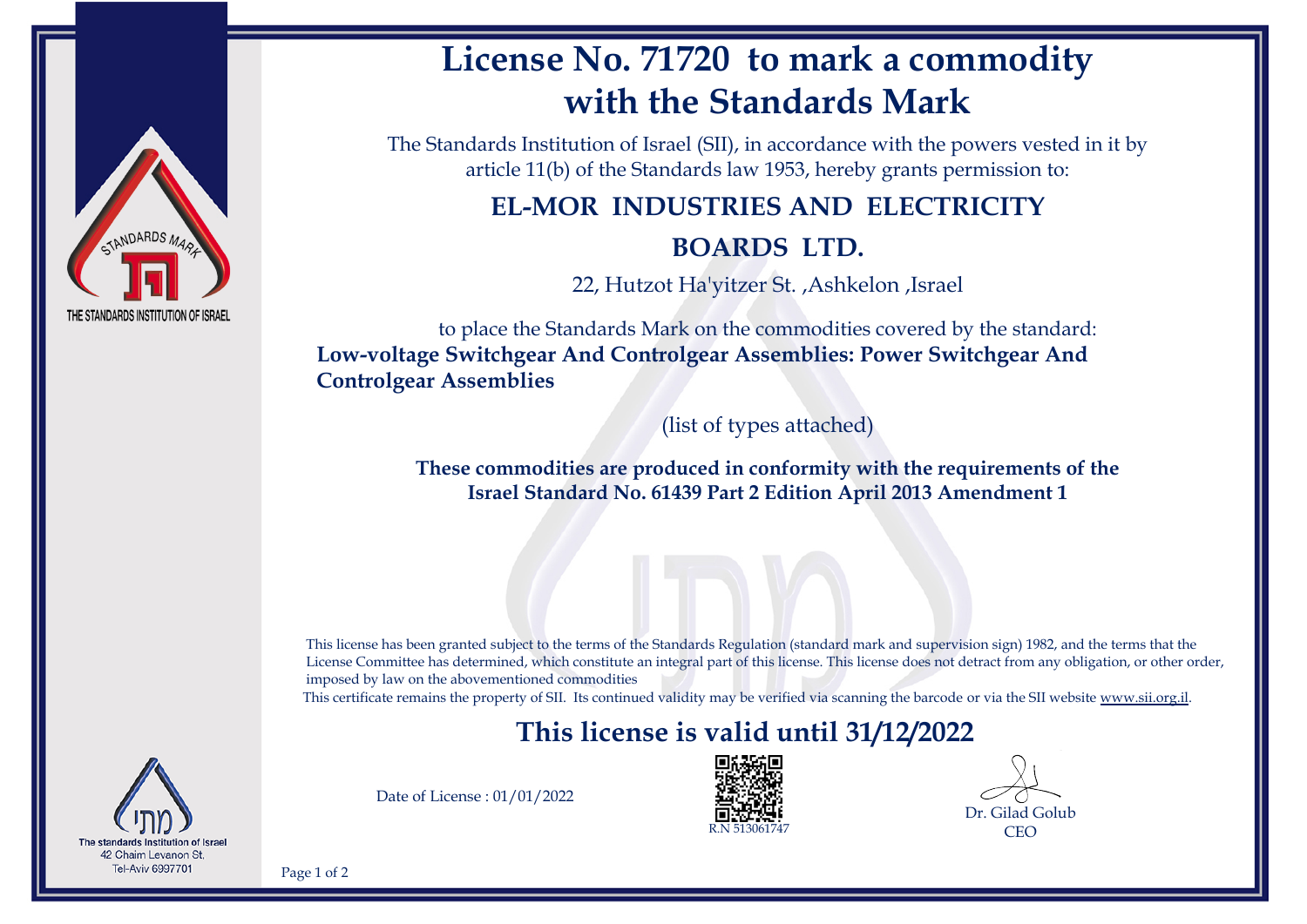

## **License No. 71720 to mark a commodity with the Standards Mark**

The Standards Institution of Israel (SII), in accordance with the powers vested in it by article 11(b) of the Standards law 1953, hereby grants permission to:

### **EL-MOR INDUSTRIES AND ELECTRICITY**

#### **BOARDS LTD.**

22, Hutzot Ha'yitzer St. ,Ashkelon ,Israel

to place the Standards Mark on the commodities covered by the standard: **Low-voltage Switchgear And Controlgear Assemblies: Power Switchgear And Controlgear Assemblies**

(list of types attached)

**These commodities are produced in conformity with the requirements of the Israel Standard No. 61439 Part 2 Edition April 2013 Amendment 1**

This license has been granted subject to the terms of the Standards Regulation (standard mark and supervision sign) 1982, and the terms that the License Committee has determined, which constitute an integral part of this license. This license does not detract from any obligation, or other order, imposed by law on the abovementioned commodities

This certificate remains the property of SII. Its continued validity may be verified via scanning the barcode or via the SII website [www.sii.org.il.](http://www.sii.org.il)

## **This license is valid until 31/12/2022**



Date of License : 01/01/2022



Dr. Gilad Golub **CEO** 

Page 1 of 2